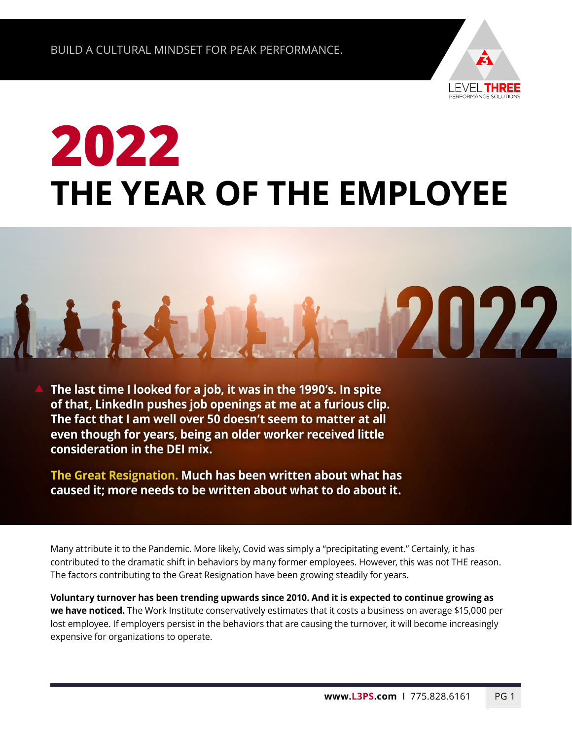

**71177** 

## **2022 THE YEAR OF THE EMPLOYEE**

**The last time I looked for a job, it was in the 1990's. In spite of that, LinkedIn pushes job openings at me at a furious clip. The fact that I am well over 50 doesn't seem to matter at all even though for years, being an older worker received little consideration in the DEI mix.**

**The Great Resignation. Much has been written about what has caused it; more needs to be written about what to do about it.** 

Many attribute it to the Pandemic. More likely, Covid was simply a "precipitating event." Certainly, it has contributed to the dramatic shift in behaviors by many former employees. However, this was not THE reason. The factors contributing to the Great Resignation have been growing steadily for years.

**Voluntary turnover has been trending upwards since 2010. And it is expected to continue growing as we have noticed.** The Work Institute conservatively estimates that it costs a business on average \$15,000 per lost employee. If employers persist in the behaviors that are causing the turnover, it will become increasingly expensive for organizations to operate.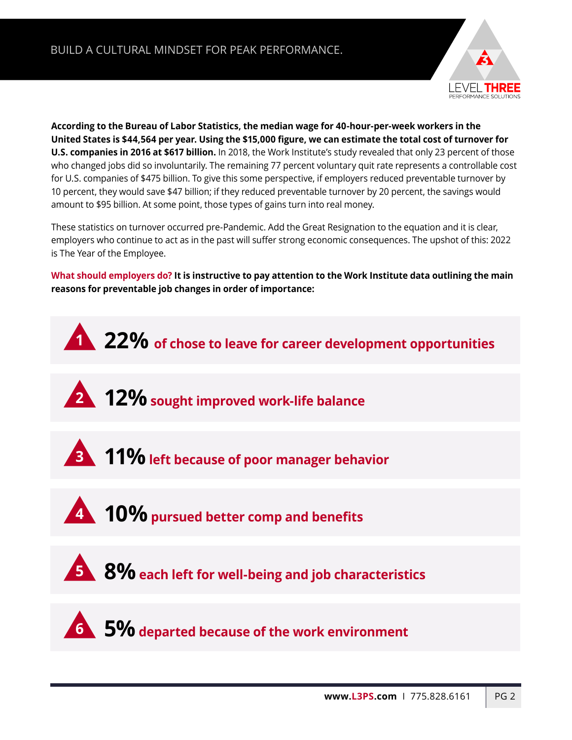

**According to the Bureau of Labor Statistics, the median wage for 40-hour-per-week workers in the United States is \$44,564 per year. Using the \$15,000 figure, we can estimate the total cost of turnover for U.S. companies in 2016 at \$617 billion.** In 2018, the Work Institute's study revealed that only 23 percent of those who changed jobs did so involuntarily. The remaining 77 percent voluntary quit rate represents a controllable cost for U.S. companies of \$475 billion. To give this some perspective, if employers reduced preventable turnover by 10 percent, they would save \$47 billion; if they reduced preventable turnover by 20 percent, the savings would amount to \$95 billion. At some point, those types of gains turn into real money.

These statistics on turnover occurred pre-Pandemic. Add the Great Resignation to the equation and it is clear, employers who continue to act as in the past will suffer strong economic consequences. The upshot of this: 2022 is The Year of the Employee.

**What should employers do? It is instructive to pay attention to the Work Institute data outlining the main reasons for preventable job changes in order of importance:**